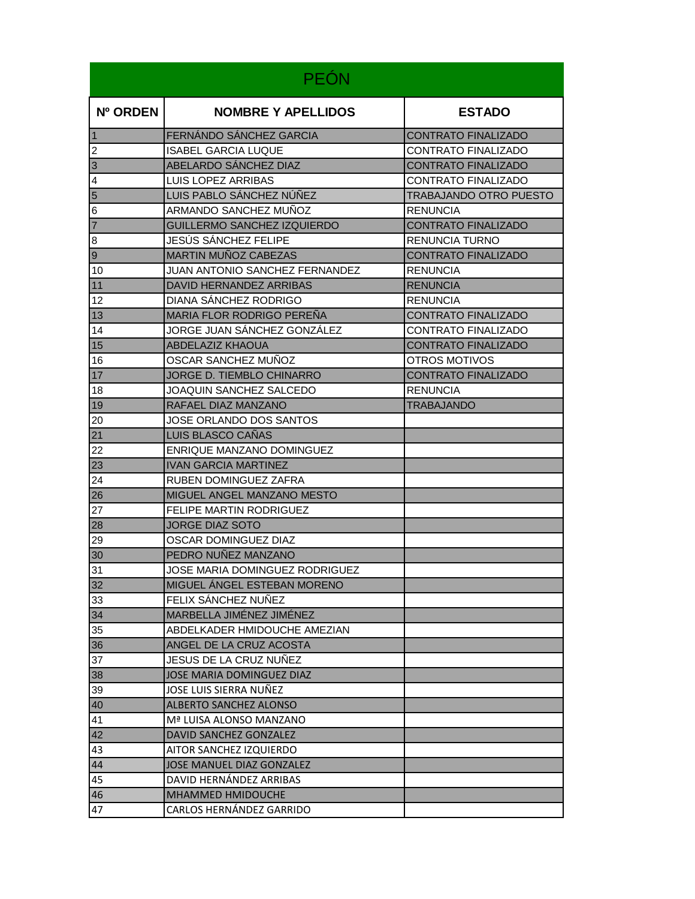| <b>PEÓN</b>    |                                   |                               |
|----------------|-----------------------------------|-------------------------------|
| Nº ORDEN       | <b>NOMBRE Y APELLIDOS</b>         | <b>ESTADO</b>                 |
| $\vert$ 1      | FERNÁNDO SÁNCHEZ GARCIA           | <b>CONTRATO FINALIZADO</b>    |
| 2              | <b>ISABEL GARCIA LUQUE</b>        | <b>CONTRATO FINALIZADO</b>    |
| $\vert$ 3      | ABELARDO SÁNCHEZ DIAZ             | <b>CONTRATO FINALIZADO</b>    |
| $\overline{a}$ | LUIS LOPEZ ARRIBAS                | <b>CONTRATO FINALIZADO</b>    |
| $\overline{5}$ | LUIS PABLO SÁNCHEZ NÚÑEZ          | <b>TRABAJANDO OTRO PUESTO</b> |
| 6              | ARMANDO SANCHEZ MUÑOZ             | <b>RENUNCIA</b>               |
| $\overline{7}$ | GUILLERMO SANCHEZ IZQUIERDO       | <b>CONTRATO FINALIZADO</b>    |
| $\bf 8$        | JESÚS SÁNCHEZ FELIPE              | RENUNCIA TURNO                |
| $\overline{9}$ | MARTIN MUÑOZ CABEZAS              | <b>CONTRATO FINALIZADO</b>    |
| 10             | JUAN ANTONIO SANCHEZ FERNANDEZ    | <b>RENUNCIA</b>               |
| $11$           | DAVID HERNANDEZ ARRIBAS           | <b>RENUNCIA</b>               |
| 12             | DIANA SANCHEZ RODRIGO             | <b>RENUNCIA</b>               |
| 13             | MARIA FLOR RODRIGO PEREÑA         | <b>CONTRATO FINALIZADO</b>    |
| 14             | JORGE JUAN SÁNCHEZ GONZÁLEZ       | CONTRATO FINALIZADO           |
| 15             | <b>ABDELAZIZ KHAOUA</b>           | <b>CONTRATO FINALIZADO</b>    |
| 16             | OSCAR SANCHEZ MUÑOZ               | OTROS MOTIVOS                 |
| 17             | JORGE D. TIEMBLO CHINARRO         | <b>CONTRATO FINALIZADO</b>    |
| 18             | JOAQUIN SANCHEZ SALCEDO           | <b>RENUNCIA</b>               |
| 19             | RAFAEL DIAZ MANZANO               | TRABAJANDO                    |
| 20             | JOSE ORLANDO DOS SANTOS           |                               |
| 21             | LUIS BLASCO CAÑAS                 |                               |
| 22             | ENRIQUE MANZANO DOMINGUEZ         |                               |
| 23             | <b>IVAN GARCIA MARTINEZ</b>       |                               |
| 24             | <b>RUBEN DOMINGUEZ ZAFRA</b>      |                               |
| 26             | <b>MIGUEL ANGEL MANZANO MESTO</b> |                               |
| 27             | FELIPE MARTIN RODRIGUEZ           |                               |
| 28             | <b>JORGE DIAZ SOTO</b>            |                               |
| 29             | OSCAR DOMINGUEZ DIAZ              |                               |
| 30             | PEDRO NUÑEZ MANZANO               |                               |
| 31             | JOSE MARIA DOMINGUEZ RODRIGUEZ    |                               |
| 32             | MIGUEL ÁNGEL ESTEBAN MORENO       |                               |
| 33             | FELIX SANCHEZ NUÑEZ               |                               |
| 34             | MARBELLA JIMÉNEZ JIMÉNEZ          |                               |
| 35             | ABDELKADER HMIDOUCHE AMEZIAN      |                               |
| 36             | ANGEL DE LA CRUZ ACOSTA           |                               |
| 37             | JESUS DE LA CRUZ NUÑEZ            |                               |
| 38             | JOSE MARIA DOMINGUEZ DIAZ         |                               |
| 39             | JOSE LUIS SIERRA NUÑEZ            |                               |
| 40             | <b>ALBERTO SANCHEZ ALONSO</b>     |                               |
| 41             | Mª LUISA ALONSO MANZANO           |                               |
| 42             | DAVID SANCHEZ GONZALEZ            |                               |
| 43             | AITOR SANCHEZ IZQUIERDO           |                               |
| 44             | JOSE MANUEL DIAZ GONZALEZ         |                               |
| 45             | DAVID HERNÁNDEZ ARRIBAS           |                               |
| 46             | <b>MHAMMED HMIDOUCHE</b>          |                               |
| 47             | CARLOS HERNÁNDEZ GARRIDO          |                               |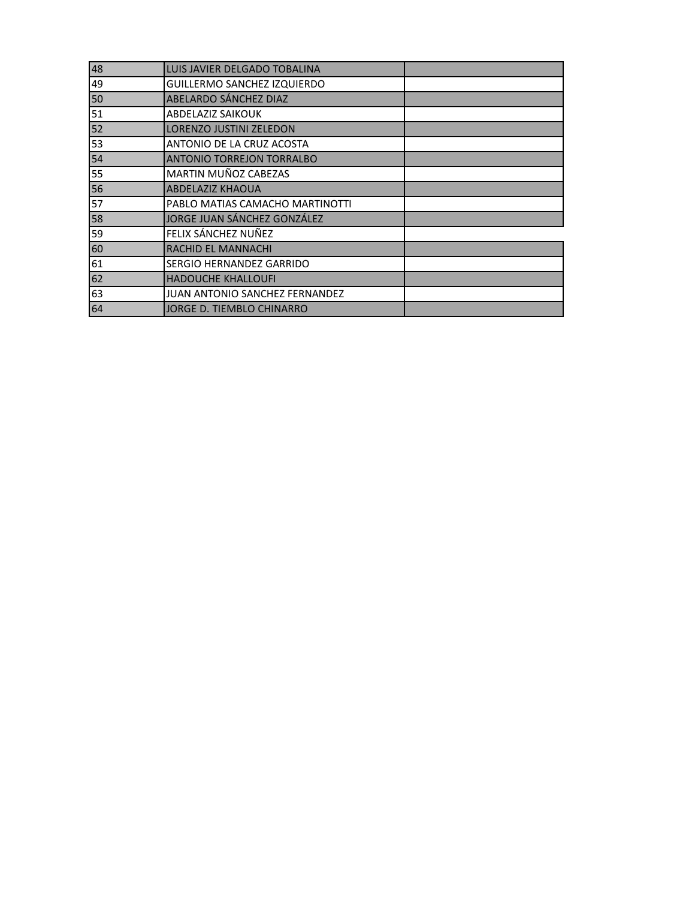| 48 | LUIS JAVIER DELGADO TOBALINA          |  |
|----|---------------------------------------|--|
| 49 | GUILLERMO SANCHEZ IZQUIERDO           |  |
| 50 | ABELARDO SÁNCHEZ DIAZ                 |  |
| 51 | <b>ABDELAZIZ SAIKOUK</b>              |  |
| 52 | <b>LORENZO JUSTINI ZELEDON</b>        |  |
| 53 | ANTONIO DE LA CRUZ ACOSTA             |  |
| 54 | <b>ANTONIO TORREJON TORRALBO</b>      |  |
| 55 | MARTIN MUÑOZ CABEZAS                  |  |
| 56 | <b>ABDELAZIZ KHAOUA</b>               |  |
| 57 | PABLO MATIAS CAMACHO MARTINOTTI       |  |
| 58 | JORGE JUAN SÁNCHEZ GONZÁLEZ           |  |
| 59 | FELIX SÁNCHEZ NUÑEZ                   |  |
| 60 | <b>RACHID EL MANNACHI</b>             |  |
| 61 | SERGIO HERNANDEZ GARRIDO              |  |
| 62 | <b>HADOUCHE KHALLOUFI</b>             |  |
| 63 | <b>JUAN ANTONIO SANCHEZ FERNANDEZ</b> |  |
| 64 | JORGE D. TIEMBLO CHINARRO             |  |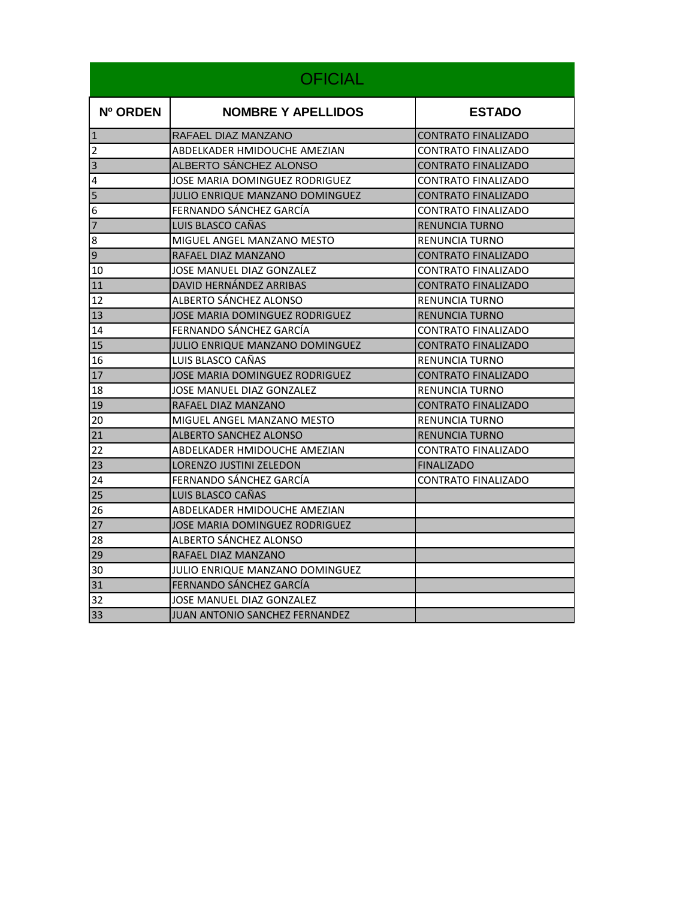|                | <b>OFICIAL</b>                         |                            |
|----------------|----------------------------------------|----------------------------|
| Nº ORDEN       | <b>NOMBRE Y APELLIDOS</b>              | <b>ESTADO</b>              |
| $\vert$ 1      | RAFAEL DIAZ MANZANO                    | <b>CONTRATO FINALIZADO</b> |
| $\overline{2}$ | ABDELKADER HMIDOUCHE AMEZIAN           | CONTRATO FINALIZADO        |
| $\overline{3}$ | ALBERTO SÁNCHEZ ALONSO                 | <b>CONTRATO FINALIZADO</b> |
| 4              | JOSE MARIA DOMINGUEZ RODRIGUEZ         | CONTRATO FINALIZADO        |
| 5              | <b>JULIO ENRIQUE MANZANO DOMINGUEZ</b> | <b>CONTRATO FINALIZADO</b> |
| 6              | FERNANDO SÁNCHEZ GARCÍA                | CONTRATO FINALIZADO        |
| $\overline{7}$ | LUIS BLASCO CAÑAS                      | <b>RENUNCIA TURNO</b>      |
| 8              | MIGUEL ANGEL MANZANO MESTO             | <b>RENUNCIA TURNO</b>      |
| $\overline{9}$ | RAFAEL DIAZ MANZANO                    | <b>CONTRATO FINALIZADO</b> |
| 10             | JOSE MANUEL DIAZ GONZALEZ              | CONTRATO FINALIZADO        |
| 11             | DAVID HERNÁNDEZ ARRIBAS                | CONTRATO FINALIZADO        |
| 12             | ALBERTO SÁNCHEZ ALONSO                 | RENUNCIA TURNO             |
| 13             | <b>JOSE MARIA DOMINGUEZ RODRIGUEZ</b>  | <b>RENUNCIA TURNO</b>      |
| 14             | FERNANDO SÁNCHEZ GARCÍA                | CONTRATO FINALIZADO        |
| 15             | JULIO ENRIQUE MANZANO DOMINGUEZ        | CONTRATO FINALIZADO        |
| 16             | LUIS BLASCO CAÑAS                      | RENUNCIA TURNO             |
| 17             | JOSE MARIA DOMINGUEZ RODRIGUEZ         | <b>CONTRATO FINALIZADO</b> |
| 18             | JOSE MANUEL DIAZ GONZALEZ              | <b>RENUNCIA TURNO</b>      |
| 19             | RAFAEL DIAZ MANZANO                    | CONTRATO FINALIZADO        |
| 20             | MIGUEL ANGEL MANZANO MESTO             | RENUNCIA TURNO             |
| 21             | <b>ALBERTO SANCHEZ ALONSO</b>          | <b>RENUNCIA TURNO</b>      |
| 22             | ABDELKADER HMIDOUCHE AMEZIAN           | CONTRATO FINALIZADO        |
| 23             | LORENZO JUSTINI ZELEDON                | <b>FINALIZADO</b>          |
| 24             | FERNANDO SANCHEZ GARCÍA                | CONTRATO FINALIZADO        |
| 25             | LUIS BLASCO CAÑAS                      |                            |
| 26             | ABDELKADER HMIDOUCHE AMEZIAN           |                            |
| 27             | <b>JOSE MARIA DOMINGUEZ RODRIGUEZ</b>  |                            |
| 28             | ALBERTO SÁNCHEZ ALONSO                 |                            |
| 29             | RAFAEL DIAZ MANZANO                    |                            |
| 30             | <b>JULIO ENRIQUE MANZANO DOMINGUEZ</b> |                            |
| 31             | FERNANDO SÁNCHEZ GARCÍA                |                            |
| 32             | JOSE MANUEL DIAZ GONZALEZ              |                            |
| 33             | JUAN ANTONIO SANCHEZ FERNANDEZ         |                            |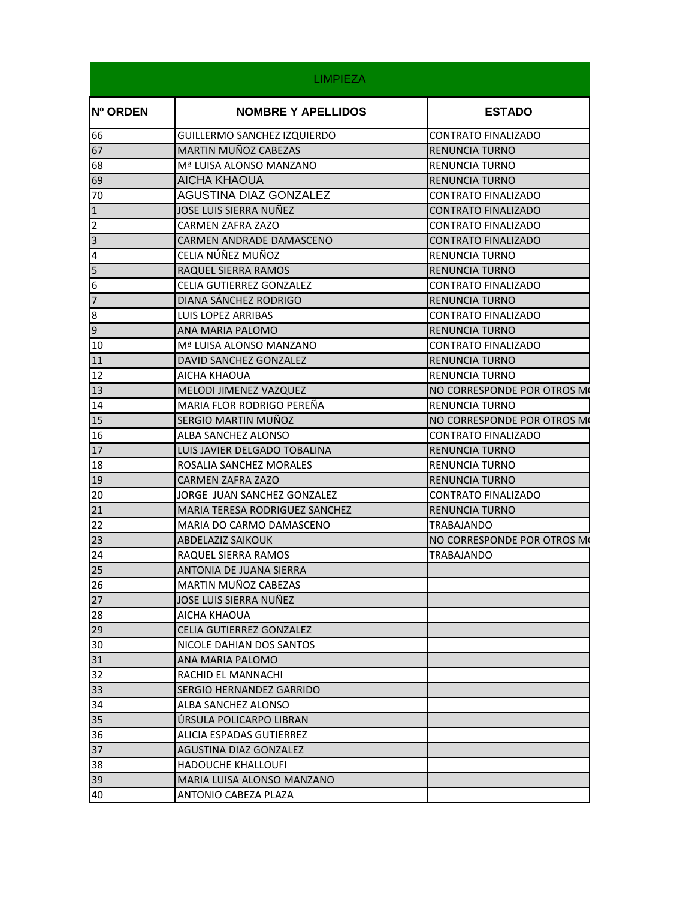|                         | <b>LIMPIEZA</b>                 |                             |
|-------------------------|---------------------------------|-----------------------------|
| <b>Nº ORDEN</b>         | <b>NOMBRE Y APELLIDOS</b>       | <b>ESTADO</b>               |
| 66                      | GUILLERMO SANCHEZ IZQUIERDO     | <b>CONTRATO FINALIZADO</b>  |
| 67                      | MARTIN MUÑOZ CABEZAS            | <b>RENUNCIA TURNO</b>       |
| 68                      | Mª LUISA ALONSO MANZANO         | <b>RENUNCIA TURNO</b>       |
| 69                      | AICHA KHAOUA                    | <b>RENUNCIA TURNO</b>       |
| 70                      | <b>AGUSTINA DIAZ GONZALEZ</b>   | CONTRATO FINALIZADO         |
| $\overline{1}$          | JOSE LUIS SIERRA NUÑEZ          | <b>CONTRATO FINALIZADO</b>  |
| $\overline{2}$          | CARMEN ZAFRA ZAZO               | <b>CONTRATO FINALIZADO</b>  |
| $\overline{a}$          | CARMEN ANDRADE DAMASCENO        | <b>CONTRATO FINALIZADO</b>  |
| $\overline{\mathbf{4}}$ | CELIA NÚÑEZ MUÑOZ               | RENUNCIA TURNO              |
| 5                       | RAQUEL SIERRA RAMOS             | <b>RENUNCIA TURNO</b>       |
| $6\phantom{.}6$         | <b>CELIA GUTIERREZ GONZALEZ</b> | CONTRATO FINALIZADO         |
| $\overline{7}$          | DIANA SÁNCHEZ RODRIGO           | <b>RENUNCIA TURNO</b>       |
| $8\phantom{.}$          | <b>LUIS LOPEZ ARRIBAS</b>       | <b>CONTRATO FINALIZADO</b>  |
| $\overline{9}$          | ANA MARIA PALOMO                | <b>RENUNCIA TURNO</b>       |
| 10                      | Mª LUISA ALONSO MANZANO         | CONTRATO FINALIZADO         |
| 11                      | DAVID SANCHEZ GONZALEZ          | <b>RENUNCIA TURNO</b>       |
| 12                      | AICHA KHAOUA                    | RENUNCIA TURNO              |
| 13                      | MELODI JIMENEZ VAZQUEZ          | NO CORRESPONDE POR OTROS MO |
| 14                      | MARIA FLOR RODRIGO PEREÑA       | RENUNCIA TURNO              |
| 15                      | SERGIO MARTIN MUÑOZ             | NO CORRESPONDE POR OTROS MO |
| 16                      | ALBA SANCHEZ ALONSO             | <b>CONTRATO FINALIZADO</b>  |
| 17                      | LUIS JAVIER DELGADO TOBALINA    | <b>RENUNCIA TURNO</b>       |
| 18                      | ROSALIA SANCHEZ MORALES         | <b>RENUNCIA TURNO</b>       |
| 19                      | CARMEN ZAFRA ZAZO               | <b>RENUNCIA TURNO</b>       |
| 20                      | JORGE JUAN SANCHEZ GONZALEZ     | CONTRATO FINALIZADO         |
| 21                      | MARIA TERESA RODRIGUEZ SANCHEZ  | <b>RENUNCIA TURNO</b>       |
| 22                      | MARIA DO CARMO DAMASCENO        | TRABAJANDO                  |
| 23                      | <b>ABDELAZIZ SAIKOUK</b>        | NO CORRESPONDE POR OTROS MO |
| 24                      | RAQUEL SIERRA RAMOS             | TRABAJANDO                  |
| 25                      | ANTONIA DE JUANA SIERRA         |                             |
| 26                      | MARTIN MUÑOZ CABEZAS            |                             |
| 27                      | JOSE LUIS SIERRA NUÑEZ          |                             |
| 28                      | AICHA KHAOUA                    |                             |
| 29                      | CELIA GUTIERREZ GONZALEZ        |                             |
| 30                      | NICOLE DAHIAN DOS SANTOS        |                             |
| 31                      | ANA MARIA PALOMO                |                             |
| 32                      | RACHID EL MANNACHI              |                             |
| 33                      | SERGIO HERNANDEZ GARRIDO        |                             |
| 34                      | ALBA SANCHEZ ALONSO             |                             |
| 35                      | URSULA POLICARPO LIBRAN         |                             |
| 36                      | ALICIA ESPADAS GUTIERREZ        |                             |
| 37                      | <b>AGUSTINA DIAZ GONZALEZ</b>   |                             |
| 38                      | <b>HADOUCHE KHALLOUFI</b>       |                             |
| 39                      | MARIA LUISA ALONSO MANZANO      |                             |
| 40                      | ANTONIO CABEZA PLAZA            |                             |
|                         |                                 |                             |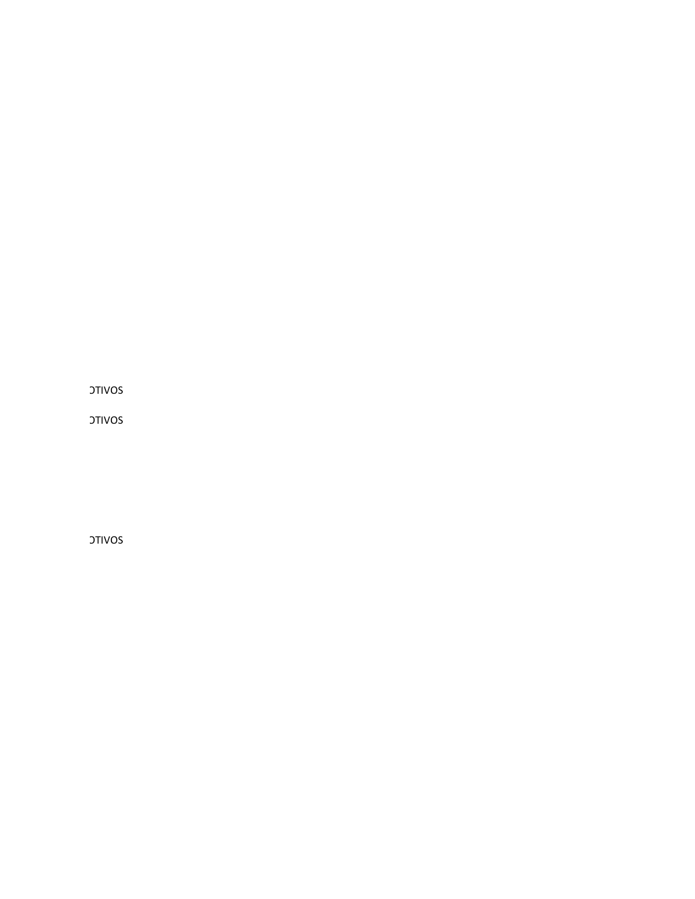**OTIVOS** 

**DTIVOS** 

**DIVOS**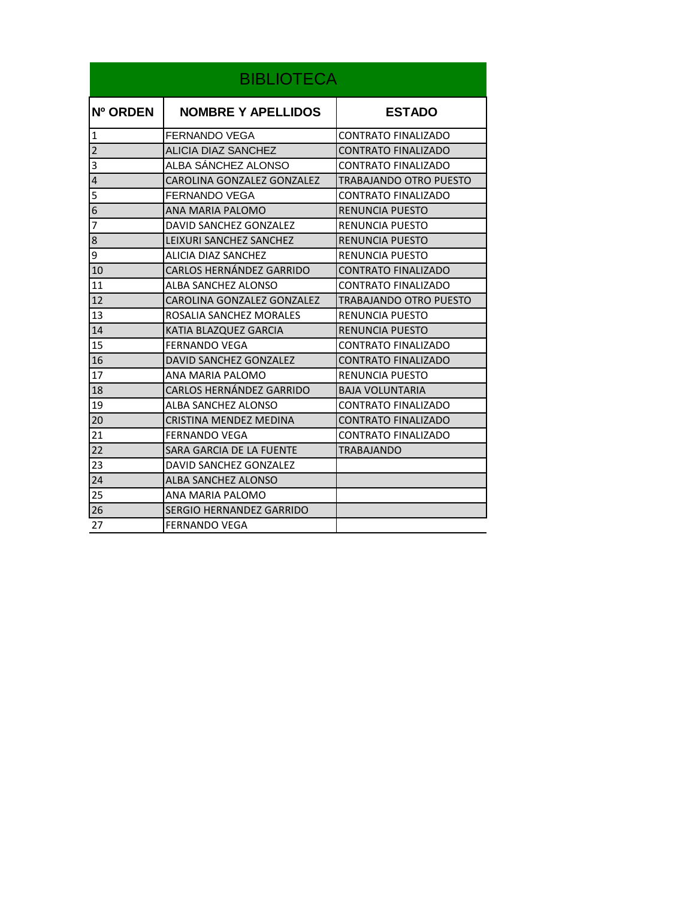| <b>BIBLIOTECA</b> |                            |                            |
|-------------------|----------------------------|----------------------------|
| Nº ORDEN          | <b>NOMBRE Y APELLIDOS</b>  | <b>ESTADO</b>              |
| $\mathbf{1}$      | <b>FERNANDO VEGA</b>       | <b>CONTRATO FINALIZADO</b> |
| $\overline{2}$    | ALICIA DIAZ SANCHEZ        | <b>CONTRATO FINALIZADO</b> |
| 3                 | ALBA SÁNCHEZ ALONSO        | <b>CONTRATO FINALIZADO</b> |
| 4                 | CAROLINA GONZALEZ GONZALEZ | TRABAJANDO OTRO PUESTO     |
| 5                 | <b>FERNANDO VEGA</b>       | <b>CONTRATO FINALIZADO</b> |
| 6                 | ANA MARIA PALOMO           | <b>RENUNCIA PUESTO</b>     |
| 7                 | DAVID SANCHEZ GONZALEZ     | <b>RENUNCIA PUESTO</b>     |
| 8                 | LEIXURI SANCHEZ SANCHEZ    | <b>RENUNCIA PUESTO</b>     |
| 9                 | ALICIA DIAZ SANCHEZ        | <b>RENUNCIA PUESTO</b>     |
| 10                | CARLOS HERNÁNDEZ GARRIDO   | <b>CONTRATO FINALIZADO</b> |
| 11                | ALBA SANCHEZ ALONSO        | <b>CONTRATO FINALIZADO</b> |
| 12                | CAROLINA GONZALEZ GONZALEZ | TRABAJANDO OTRO PUESTO     |
| 13                | ROSALIA SANCHEZ MORALES    | <b>RENUNCIA PUESTO</b>     |
| 14                | KATIA BLAZQUEZ GARCIA      | <b>RENUNCIA PUESTO</b>     |
| 15                | <b>FERNANDO VEGA</b>       | <b>CONTRATO FINALIZADO</b> |
| 16                | DAVID SANCHEZ GONZALEZ     | <b>CONTRATO FINALIZADO</b> |
| 17                | ANA MARIA PALOMO           | RENUNCIA PUESTO            |
| 18                | CARLOS HERNÁNDEZ GARRIDO   | <b>BAJA VOLUNTARIA</b>     |
| 19                | ALBA SANCHEZ ALONSO        | <b>CONTRATO FINALIZADO</b> |
| 20                | CRISTINA MENDEZ MEDINA     | <b>CONTRATO FINALIZADO</b> |
| 21                | <b>FERNANDO VEGA</b>       | <b>CONTRATO FINALIZADO</b> |
| 22                | SARA GARCIA DE LA FUENTE   | <b>TRABAJANDO</b>          |
| 23                | DAVID SANCHEZ GONZALEZ     |                            |
| 24                | <b>ALBA SANCHEZ ALONSO</b> |                            |
| 25                | ANA MARIA PALOMO           |                            |
| 26                | SERGIO HERNANDEZ GARRIDO   |                            |
| 27                | <b>FERNANDO VEGA</b>       |                            |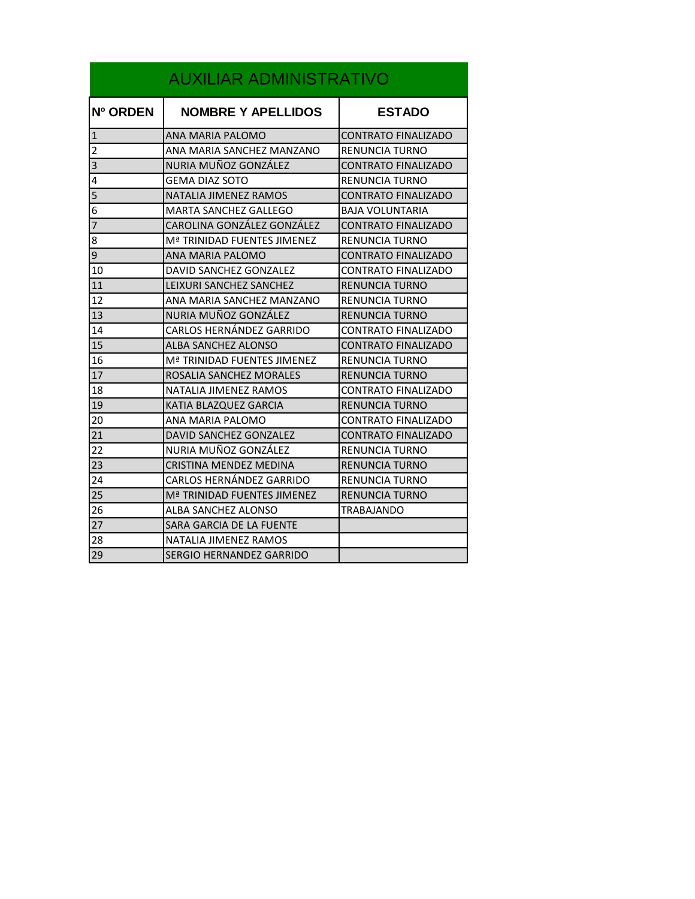| <b>AUXILIAR ADMINISTRATIVO</b> |                                 |                            |  |
|--------------------------------|---------------------------------|----------------------------|--|
| Nº ORDEN                       | <b>NOMBRE Y APELLIDOS</b>       | <b>ESTADO</b>              |  |
| $\mathbf{1}$                   | ANA MARIA PALOMO                | CONTRATO FINALIZADO        |  |
| $\overline{2}$                 | ANA MARIA SANCHEZ MANZANO       | RENUNCIA TURNO             |  |
| 3                              | NURIA MUÑOZ GONZÁLEZ            | CONTRATO FINALIZADO        |  |
| 4                              | <b>GEMA DIAZ SOTO</b>           | RENUNCIA TURNO             |  |
| 5                              | NATALIA JIMENEZ RAMOS           | <b>CONTRATO FINALIZADO</b> |  |
| 6                              | MARTA SANCHEZ GALLEGO           | <b>BAJA VOLUNTARIA</b>     |  |
| 7                              | CAROLINA GONZÁLEZ GONZÁLEZ      | CONTRATO FINALIZADO        |  |
| 8                              | Mª TRINIDAD FUENTES JIMENEZ     | <b>RENUNCIA TURNO</b>      |  |
| 9                              | ANA MARIA PALOMO                | CONTRATO FINALIZADO        |  |
| 10                             | DAVID SANCHEZ GONZALEZ          | <b>CONTRATO FINALIZADO</b> |  |
| 11                             | LEIXURI SANCHEZ SANCHEZ         | <b>RENUNCIA TURNO</b>      |  |
| 12                             | ANA MARIA SANCHEZ MANZANO       | <b>RENUNCIA TURNO</b>      |  |
| 13                             | NURIA MUÑOZ GONZÁLEZ            | <b>RENUNCIA TURNO</b>      |  |
| 14                             | CARLOS HERNÁNDEZ GARRIDO        | CONTRATO FINALIZADO        |  |
| 15                             | ALBA SANCHEZ ALONSO             | CONTRATO FINALIZADO        |  |
| 16                             | Mª TRINIDAD FUENTES JIMENEZ     | <b>RENUNCIA TURNO</b>      |  |
| 17                             | ROSALIA SANCHEZ MORALES         | RENUNCIA TURNO             |  |
| 18                             | NATALIA JIMENEZ RAMOS           | <b>CONTRATO FINALIZADO</b> |  |
| 19                             | KATIA BLAZQUEZ GARCIA           | RENUNCIA TURNO             |  |
| 20                             | ANA MARIA PALOMO                | CONTRATO FINALIZADO        |  |
| 21                             | DAVID SANCHEZ GONZALEZ          | <b>CONTRATO FINALIZADO</b> |  |
| 22                             | NURIA MUÑOZ GONZÁLEZ            | <b>RENUNCIA TURNO</b>      |  |
| 23                             | CRISTINA MENDEZ MEDINA          | RENUNCIA TURNO             |  |
| 24                             | CARLOS HERNÁNDEZ GARRIDO        | RENUNCIA TURNO             |  |
| 25                             | Mª TRINIDAD FUENTES JIMENEZ     | <b>RENUNCIA TURNO</b>      |  |
| 26                             | <b>ALBA SANCHEZ ALONSO</b>      | TRABAJANDO                 |  |
| 27                             | SARA GARCIA DE LA FUENTE        |                            |  |
| 28                             | NATALIA JIMENEZ RAMOS           |                            |  |
| 29                             | <b>SERGIO HERNANDEZ GARRIDO</b> |                            |  |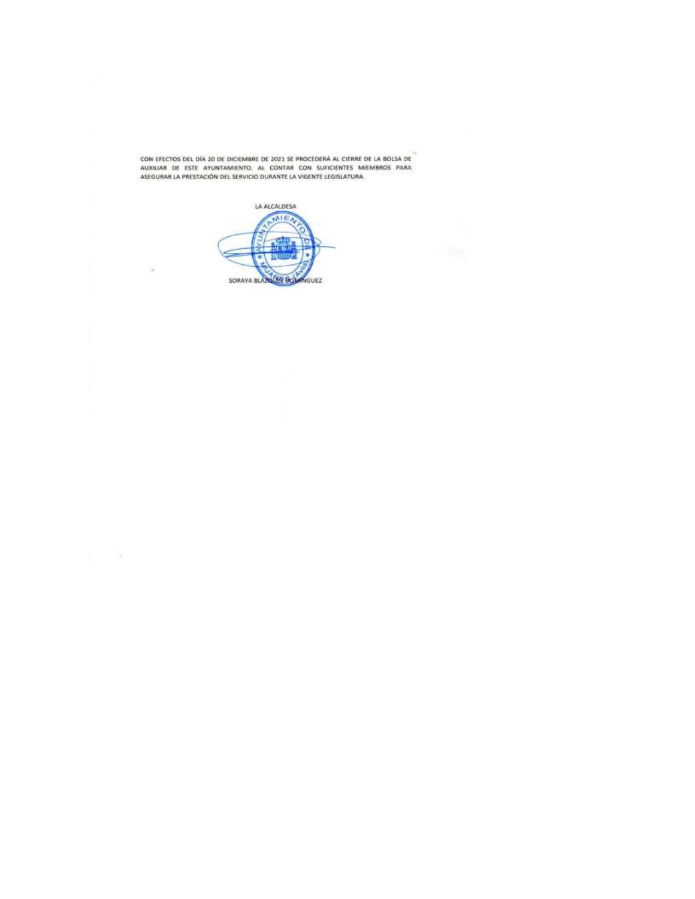CON EFECTOS DEL DÍA 20 DE DICIEMBRE DE 2021 SE PROCEDERÁ AL CIERRE DE LA BOLSA DE<br>AUXILIAR DE ESTE AYUNTAMIENTO, AL CONTAR CON SUFICIENTES MIÉMBROS PARA<br>ASEGURAR LA PRESTACIÓN DEL SERVICIO DURANTE LA VIGENTE LEGISLATURA.

LA ALCALDESA MIEA SORAYA BLAZE HOL GUEZ

 $\mathbb{R}^n \rightarrow \mathbb{R}^n$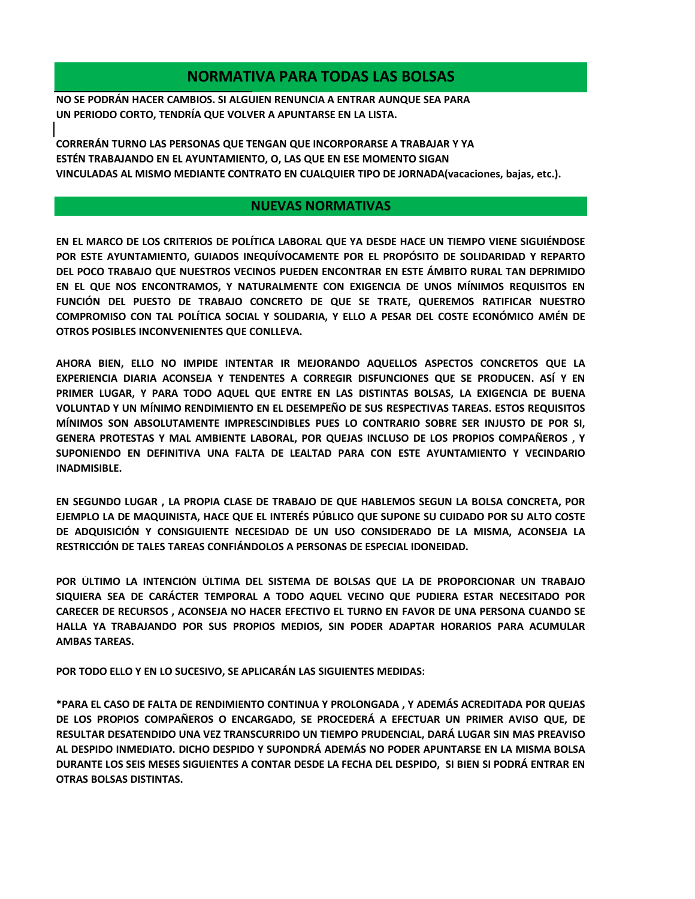## **NORMATIVA PARA TODAS LAS BOLSAS**

**NO SE PODRÁN HACER CAMBIOS. SI ALGUIEN RENUNCIA A ENTRAR AUNQUE SEA PARA UN PERIODO CORTO, TENDRÍA QUE VOLVER A APUNTARSE EN LA LISTA.**

**ESTÉN TRABAJANDO EN EL AYUNTAMIENTO, O, LAS QUE EN ESE MOMENTO SIGAN VINCULADAS AL MISMO MEDIANTE CONTRATO EN CUALQUIER TIPO DE JORNADA(vacaciones, bajas, etc.). CORRERÁN TURNO LAS PERSONAS QUE TENGAN QUE INCORPORARSE A TRABAJAR Y YA** 

## **NUEVAS NORMATIVAS**

**EN EL MARCO DE LOS CRITERIOS DE POLÍTICA LABORAL QUE YA DESDE HACE UN TIEMPO VIENE SIGUIÉNDOSE POR ESTE AYUNTAMIENTO, GUIADOS INEQUÍVOCAMENTE POR EL PROPÓSITO DE SOLIDARIDAD Y REPARTO DEL POCO TRABAJO QUE NUESTROS VECINOS PUEDEN ENCONTRAR EN ESTE ÁMBITO RURAL TAN DEPRIMIDO EN EL QUE NOS ENCONTRAMOS, Y NATURALMENTE CON EXIGENCIA DE UNOS MÍNIMOS REQUISITOS EN FUNCIÓN DEL PUESTO DE TRABAJO CONCRETO DE QUE SE TRATE, QUEREMOS RATIFICAR NUESTRO COMPROMISO CON TAL POLÍTICA SOCIAL Y SOLIDARIA, Y ELLO A PESAR DEL COSTE ECONÓMICO AMÉN DE OTROS POSIBLES INCONVENIENTES QUE CONLLEVA.**

**AHORA BIEN, ELLO NO IMPIDE INTENTAR IR MEJORANDO AQUELLOS ASPECTOS CONCRETOS QUE LA EXPERIENCIA DIARIA ACONSEJA Y TENDENTES A CORREGIR DISFUNCIONES QUE SE PRODUCEN. ASÍ Y EN PRIMER LUGAR, Y PARA TODO AQUEL QUE ENTRE EN LAS DISTINTAS BOLSAS, LA EXIGENCIA DE BUENA VOLUNTAD Y UN MÍNIMO RENDIMIENTO EN EL DESEMPEÑO DE SUS RESPECTIVAS TAREAS. ESTOS REQUISITOS MÍNIMOS SON ABSOLUTAMENTE IMPRESCINDIBLES PUES LO CONTRARIO SOBRE SER INJUSTO DE POR SI, GENERA PROTESTAS Y MAL AMBIENTE LABORAL, POR QUEJAS INCLUSO DE LOS PROPIOS COMPAÑEROS , Y SUPONIENDO EN DEFINITIVA UNA FALTA DE LEALTAD PARA CON ESTE AYUNTAMIENTO Y VECINDARIO INADMISIBLE.**

**EN SEGUNDO LUGAR , LA PROPIA CLASE DE TRABAJO DE QUE HABLEMOS SEGUN LA BOLSA CONCRETA, POR EJEMPLO LA DE MAQUINISTA, HACE QUE EL INTERÉS PÚBLICO QUE SUPONE SU CUIDADO POR SU ALTO COSTE DE ADQUISICIÓN Y CONSIGUIENTE NECESIDAD DE UN USO CONSIDERADO DE LA MISMA, ACONSEJA LA RESTRICCIÓN DE TALES TAREAS CONFIÁNDOLOS A PERSONAS DE ESPECIAL IDONEIDAD.**

**POR ÚLTIMO LA INTENCIÓN ÚLTIMA DEL SISTEMA DE BOLSAS QUE LA DE PROPORCIONAR UN TRABAJO SIQUIERA SEA DE CARÁCTER TEMPORAL A TODO AQUEL VECINO QUE PUDIERA ESTAR NECESITADO POR CARECER DE RECURSOS , ACONSEJA NO HACER EFECTIVO EL TURNO EN FAVOR DE UNA PERSONA CUANDO SE HALLA YA TRABAJANDO POR SUS PROPIOS MEDIOS, SIN PODER ADAPTAR HORARIOS PARA ACUMULAR AMBAS TAREAS.**

**POR TODO ELLO Y EN LO SUCESIVO, SE APLICARÁN LAS SIGUIENTES MEDIDAS:**

**\*PARA EL CASO DE FALTA DE RENDIMIENTO CONTINUA Y PROLONGADA , Y ADEMÁS ACREDITADA POR QUEJAS DE LOS PROPIOS COMPAÑEROS O ENCARGADO, SE PROCEDERÁ A EFECTUAR UN PRIMER AVISO QUE, DE RESULTAR DESATENDIDO UNA VEZ TRANSCURRIDO UN TIEMPO PRUDENCIAL, DARÁ LUGAR SIN MAS PREAVISO AL DESPIDO INMEDIATO. DICHO DESPIDO Y SUPONDRÁ ADEMÁS NO PODER APUNTARSE EN LA MISMA BOLSA DURANTE LOS SEIS MESES SIGUIENTES A CONTAR DESDE LA FECHA DEL DESPIDO, SI BIEN SI PODRÁ ENTRAR EN OTRAS BOLSAS DISTINTAS.**